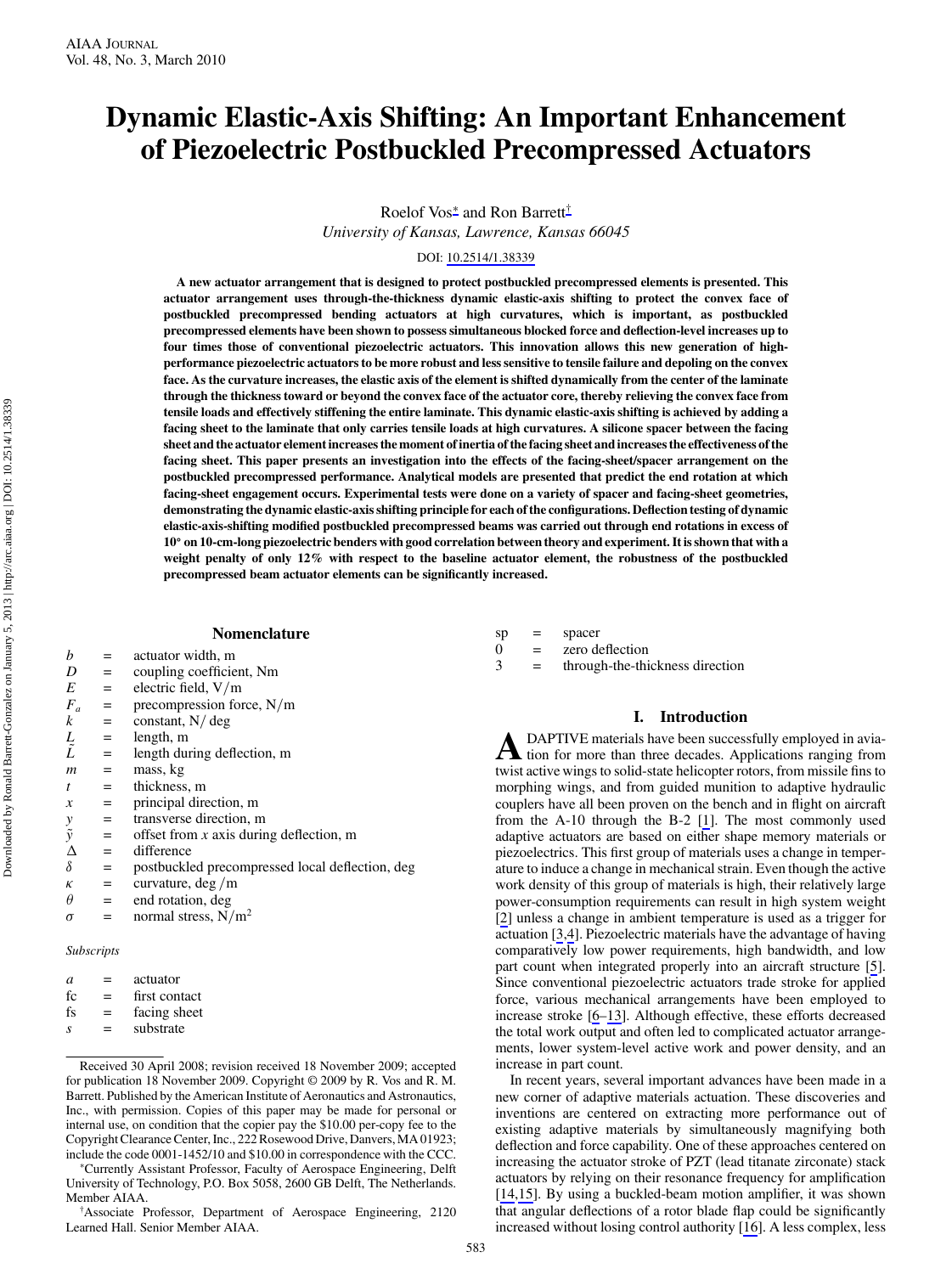# <span id="page-0-0"></span>Dynamic Elastic-Axis Shifting: An Important Enhancement of Piezoelectric Postbuckled Precompressed Actuators

Roelof Vos<sup>∗</sup> and Ron Barrett† University of Kansas, Lawrence, Kansas 66045

DOI: [10.2514/1.38339](http://dx.doi.org/10.2514/1.38339)

A new actuator arrangement that is designed to protect postbuckled precompressed elements is presented. This actuator arrangement uses through-the-thickness dynamic elastic-axis shifting to protect the convex face of postbuckled precompressed bending actuators at high curvatures, which is important, as postbuckled precompressed elements have been shown to possess simultaneous blocked force and deflection-level increases up to four times those of conventional piezoelectric actuators. This innovation allows this new generation of highperformance piezoelectric actuators to be more robust and less sensitive to tensile failure and depoling on the convex face. As the curvature increases, the elastic axis of the element is shifted dynamically from the center of the laminate through the thickness toward or beyond the convex face of the actuator core, thereby relieving the convex face from tensile loads and effectively stiffening the entire laminate. This dynamic elastic-axis shifting is achieved by adding a facing sheet to the laminate that only carries tensile loads at high curvatures. A silicone spacer between the facing sheet and the actuator element increases the moment of inertia of the facing sheet and increases the effectiveness of the facing sheet. This paper presents an investigation into the effects of the facing-sheet/spacer arrangement on the postbuckled precompressed performance. Analytical models are presented that predict the end rotation at which facing-sheet engagement occurs. Experimental tests were done on a variety of spacer and facing-sheet geometries, demonstrating the dynamic elastic-axis shifting principle for each of the configurations. Deflection testing of dynamic elastic-axis-shifting modified postbuckled precompressed beams was carried out through end rotations in excess of 10° on 10-cm-long piezoelectric benders with good correlation between theory and experiment. It is shown that with a weight penalty of only 12% with respect to the baseline actuator element, the robustness of the postbuckled precompressed beam actuator elements can be significantly increased.

## Nomenclature

| b | $=$ | actuator width, m        |  |  |
|---|-----|--------------------------|--|--|
| D | $=$ | coupling coefficient, Nm |  |  |

- $E =$  electric field,  $V/m$
- $F_a$  = precompression force, N/m<br> $k$  = constant, N/deg
	- $=$  constant, N/ deg
- $L =$  length, m<br> $\tilde{L} =$  length dun
	- $=$  length during deflection, m
- $m =$  mass, kg
- $t =$  thickness, m
- *x* = principal direction, m
- *y* = transverse direction, m
- $\tilde{y}$  = offset from *x* axis during deflection, m
- $\Delta$  = difference
- $\delta$  = postbuckled precompressed local deflection, deg
- $\kappa$ = curvature, deg *=*m
- $\theta$  = end rotation, deg
- $\sigma$  = normal stress, N/m<sup>2</sup>

## Subscripts

| a | actuator |  |  |  |
|---|----------|--|--|--|
|   |          |  |  |  |

- $fc =$  first contact
- $fs = facing sheet$ *s* = substrate
- 

University of Technology, P.O. Box 5058, 2600 GB Delft, The Netherlands. Member AIAA.

Associate Professor, Department of Aerospace Engineering, 2120 Learned Hall. Senior Member AIAA.

sp = spacer  $0 =$ zero deflection 3 = through-the-thickness direction

## I. Introduction

A DAPTIVE materials have been successfully employed in aviation for more than three decades. Applications ranging from twist active wings to solid-state helicopter rotors, from missile fins to morphing wings, and from guided munition to adaptive hydraulic couplers have all been proven on the bench and in flight on aircraft from the A-10 through the B-2 [[1](#page-6-0)]. The most commonly used adaptive actuators are based on either shape memory materials or piezoelectrics. This first group of materials uses a change in temperature to induce a change in mechanical strain. Even though the active work density of this group of materials is high, their relatively large power-consumption requirements can result in high system weight [\[2\]](#page-6-0) unless a change in ambient temperature is used as a trigger for actuation [[3](#page-6-0),[4](#page-6-0)]. Piezoelectric materials have the advantage of having comparatively low power requirements, high bandwidth, and low part count when integrated properly into an aircraft structure [[5](#page-6-0)]. Since conventional piezoelectric actuators trade stroke for applied force, various mechanical arrangements have been employed to increase stroke [\[6](#page-6-0)–[13](#page-7-0)]. Although effective, these efforts decreased the total work output and often led to complicated actuator arrangements, lower system-level active work and power density, and an increase in part count.

In recent years, several important advances have been made in a new corner of adaptive materials actuation. These discoveries and inventions are centered on extracting more performance out of existing adaptive materials by simultaneously magnifying both deflection and force capability. One of these approaches centered on increasing the actuator stroke of PZT (lead titanate zirconate) stack actuators by relying on their resonance frequency for amplification [\[14](#page-7-0),[15\]](#page-7-0). By using a buckled-beam motion amplifier, it was shown that angular deflections of a rotor blade flap could be significantly increased without losing control authority [[16\]](#page-7-0). A less complex, less

Received 30 April 2008; revision received 18 November 2009; accepted for publication 18 November 2009. Copyright © 2009 by R. Vos and R. M. Barrett. Published by the American Institute of Aeronautics and Astronautics, Inc., with permission. Copies of this paper may be made for personal or internal use, on condition that the copier pay the \$10.00 per-copy fee to the Copyright Clearance Center, Inc., 222 Rosewood Drive, Danvers, MA 01923; include the code 0001-1452/10 and \$10.00 in correspondence with the CCC. <sup>∗</sup>Currently Assistant Professor, Faculty of Aerospace Engineering, Delft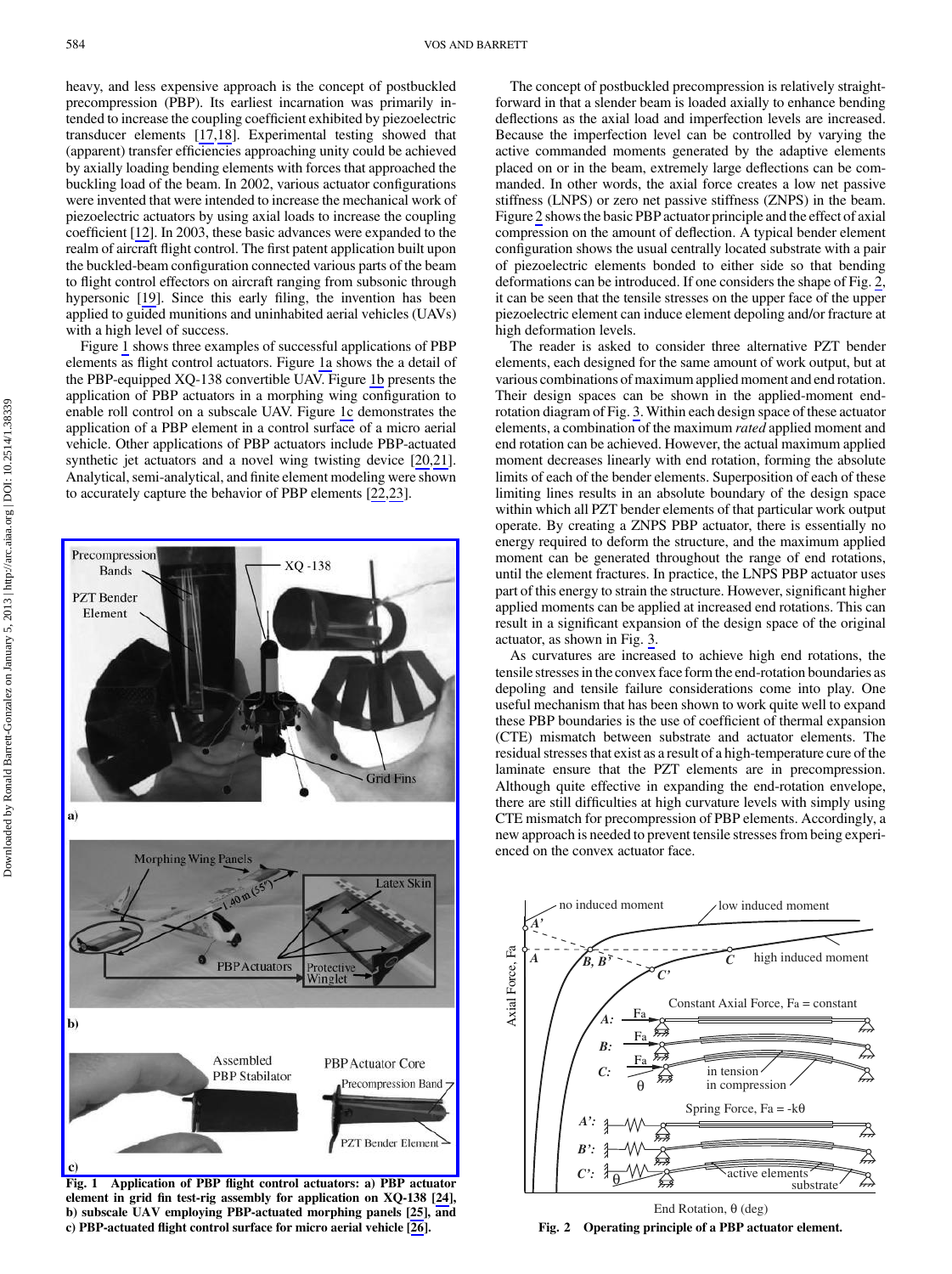<span id="page-1-0"></span>heavy, and less expensive approach is the concept of postbuckled precompression (PBP). Its earliest incarnation was primarily intended to increase the coupling coefficient exhibited by piezoelectric transducer elements [\[17](#page-7-0),[18\]](#page-7-0). Experimental testing showed that (apparent) transfer efficiencies approaching unity could be achieved by axially loading bending elements with forces that approached the buckling load of the beam. In 2002, various actuator configurations were invented that were intended to increase the mechanical work of piezoelectric actuators by using axial loads to increase the coupling coefficient [[12\]](#page-7-0). In 2003, these basic advances were expanded to the realm of aircraft flight control. The first patent application built upon the buckled-beam configuration connected various parts of the beam to flight control effectors on aircraft ranging from subsonic through hypersonic [[19\]](#page-7-0). Since this early filing, the invention has been applied to guided munitions and uninhabited aerial vehicles (UAVs) with a high level of success.

Figure 1 shows three examples of successful applications of PBP elements as flight control actuators. Figure 1a shows the a detail of the PBP-equipped XQ-138 convertible UAV. Figure 1b presents the application of PBP actuators in a morphing wing configuration to enable roll control on a subscale UAV. Figure 1c demonstrates the application of a PBP element in a control surface of a micro aerial vehicle. Other applications of PBP actuators include PBP-actuated synthetic jet actuators and a novel wing twisting device [\[20,21](#page-7-0)]. Analytical, semi-analytical, and finite element modeling were shown to accurately capture the behavior of PBP elements [[22,23](#page-7-0)].



Fig. 1 Application of PBP flight control actuators: a) PBP actuator element in grid fin test-rig assembly for application on XQ-138 [[24\]](#page-7-0), b) subscale UAV employing PBP-actuated morphing panels [\[25](#page-7-0)], and c) PBP-actuated flight control surface for micro aerial vehicle [[26\]](#page-7-0).

The concept of postbuckled precompression is relatively straightforward in that a slender beam is loaded axially to enhance bending deflections as the axial load and imperfection levels are increased. Because the imperfection level can be controlled by varying the active commanded moments generated by the adaptive elements placed on or in the beam, extremely large deflections can be commanded. In other words, the axial force creates a low net passive stiffness (LNPS) or zero net passive stiffness (ZNPS) in the beam. Figure 2 shows the basic PBP actuator principle and the effect of axial compression on the amount of deflection. A typical bender element configuration shows the usual centrally located substrate with a pair of piezoelectric elements bonded to either side so that bending deformations can be introduced. If one considers the shape of Fig. 2, it can be seen that the tensile stresses on the upper face of the upper piezoelectric element can induce element depoling and/or fracture at high deformation levels.

The reader is asked to consider three alternative PZT bender elements, each designed for the same amount of work output, but at various combinations of maximum applied moment and end rotation. Their design spaces can be shown in the applied-moment endrotation diagram of Fig. [3](#page-2-0). Within each design space of these actuator elements, a combination of the maximum rated applied moment and end rotation can be achieved. However, the actual maximum applied moment decreases linearly with end rotation, forming the absolute limits of each of the bender elements. Superposition of each of these limiting lines results in an absolute boundary of the design space within which all PZT bender elements of that particular work output operate. By creating a ZNPS PBP actuator, there is essentially no energy required to deform the structure, and the maximum applied moment can be generated throughout the range of end rotations, until the element fractures. In practice, the LNPS PBP actuator uses part of this energy to strain the structure. However, significant higher applied moments can be applied at increased end rotations. This can result in a significant expansion of the design space of the original actuator, as shown in Fig. [3.](#page-2-0)

As curvatures are increased to achieve high end rotations, the tensile stresses in the convex face form the end-rotation boundaries as depoling and tensile failure considerations come into play. One useful mechanism that has been shown to work quite well to expand these PBP boundaries is the use of coefficient of thermal expansion (CTE) mismatch between substrate and actuator elements. The residual stresses that exist as a result of a high-temperature cure of the laminate ensure that the PZT elements are in precompression. Although quite effective in expanding the end-rotation envelope, there are still difficulties at high curvature levels with simply using CTE mismatch for precompression of PBP elements. Accordingly, a new approach is needed to prevent tensile stresses from being experienced on the convex actuator face.



End Rotation, θ (deg) Fig. 2 Operating principle of a PBP actuator element.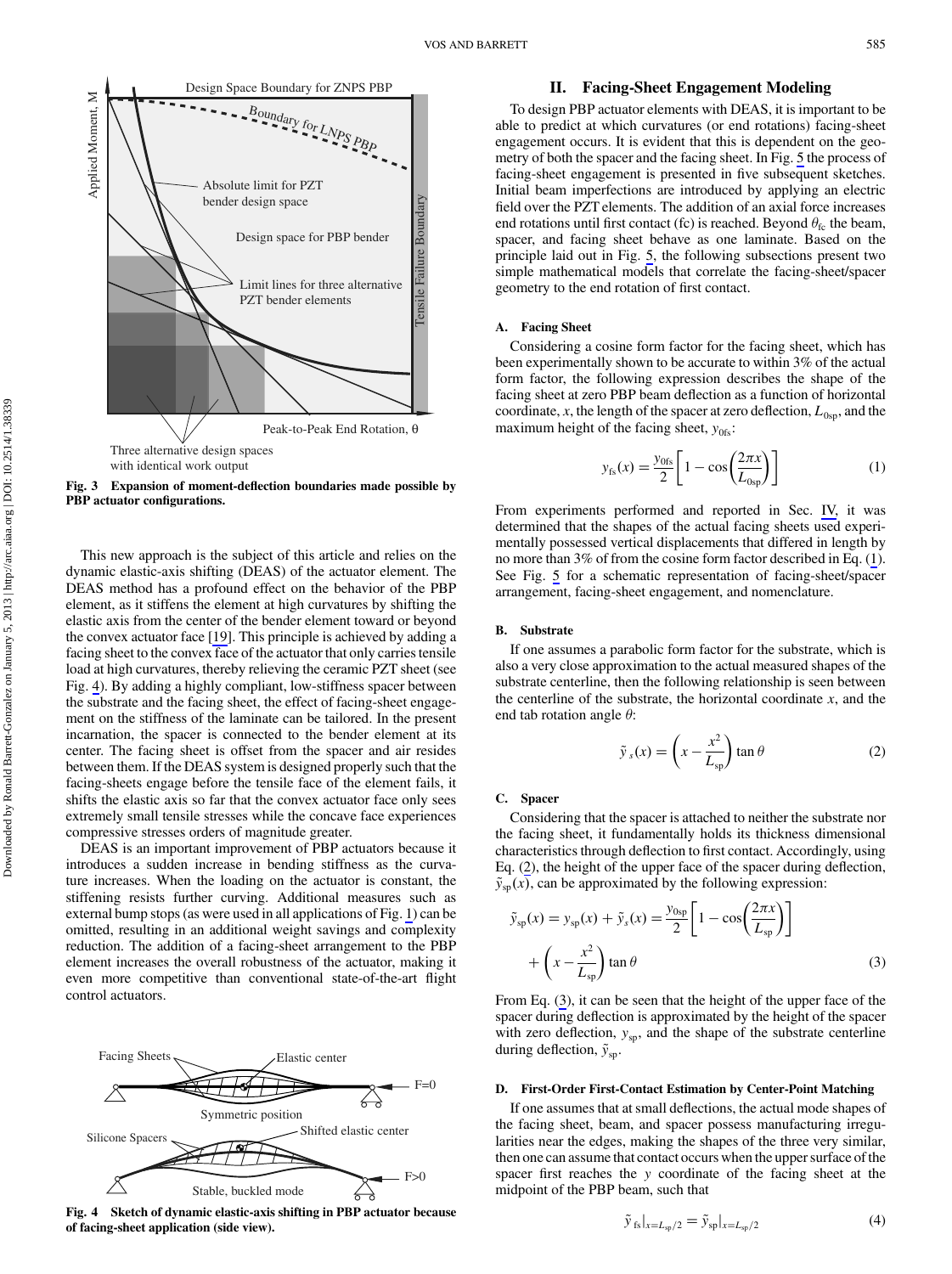<span id="page-2-0"></span>

Fig. 3 Expansion of moment-deflection boundaries made possible by PBP actuator configurations.

This new approach is the subject of this article and relies on the dynamic elastic-axis shifting (DEAS) of the actuator element. The DEAS method has a profound effect on the behavior of the PBP element, as it stiffens the element at high curvatures by shifting the elastic axis from the center of the bender element toward or beyond the convex actuator face [[19\]](#page-7-0). This principle is achieved by adding a facing sheet to the convex face of the actuator that only carries tensile load at high curvatures, thereby relieving the ceramic PZT sheet (see Fig. 4). By adding a highly compliant, low-stiffness spacer between the substrate and the facing sheet, the effect of facing-sheet engagement on the stiffness of the laminate can be tailored. In the present incarnation, the spacer is connected to the bender element at its center. The facing sheet is offset from the spacer and air resides between them. If the DEAS system is designed properly such that the facing-sheets engage before the tensile face of the element fails, it shifts the elastic axis so far that the convex actuator face only sees extremely small tensile stresses while the concave face experiences compressive stresses orders of magnitude greater.

DEAS is an important improvement of PBP actuators because it introduces a sudden increase in bending stiffness as the curvature increases. When the loading on the actuator is constant, the stiffening resists further curving. Additional measures such as external bump stops (as were used in all applications of Fig. [1\)](#page-1-0) can be omitted, resulting in an additional weight savings and complexity reduction. The addition of a facing-sheet arrangement to the PBP element increases the overall robustness of the actuator, making it even more competitive than conventional state-of-the-art flight control actuators.



Fig. 4 Sketch of dynamic elastic-axis shifting in PBP actuator because of facing-sheet application (side view).

## II. Facing-Sheet Engagement Modeling

To design PBP actuator elements with DEAS, it is important to be able to predict at which curvatures (or end rotations) facing-sheet engagement occurs. It is evident that this is dependent on the geometry of both the spacer and the facing sheet. In Fig. [5](#page-3-0) the process of facing-sheet engagement is presented in five subsequent sketches. Initial beam imperfections are introduced by applying an electric field over the PZT elements. The addition of an axial force increases end rotations until first contact (fc) is reached. Beyond  $\theta_{\rm fc}$  the beam, spacer, and facing sheet behave as one laminate. Based on the principle laid out in Fig. [5,](#page-3-0) the following subsections present two simple mathematical models that correlate the facing-sheet/spacer geometry to the end rotation of first contact.

## A. Facing Sheet

Considering a cosine form factor for the facing sheet, which has been experimentally shown to be accurate to within 3% of the actual form factor, the following expression describes the shape of the facing sheet at zero PBP beam deflection as a function of horizontal coordinate,  $x$ , the length of the spacer at zero deflection,  $L_{0sp}$ , and the maximum height of the facing sheet,  $y_{0fs}$ :

$$
y_{\rm fs}(x) = \frac{y_{\rm 0fs}}{2} \left[ 1 - \cos\left(\frac{2\pi x}{L_{\rm 0sp}}\right) \right] \tag{1}
$$

From experiments performed and reported in Sec. [IV,](#page-4-0) it was determined that the shapes of the actual facing sheets used experimentally possessed vertical displacements that differed in length by no more than 3% of from the cosine form factor described in Eq. (1). See Fig. [5](#page-3-0) for a schematic representation of facing-sheet/spacer arrangement, facing-sheet engagement, and nomenclature.

### B. Substrate

If one assumes a parabolic form factor for the substrate, which is also a very close approximation to the actual measured shapes of the substrate centerline, then the following relationship is seen between the centerline of the substrate, the horizontal coordinate  $x$ , and the end tab rotation angle  $\theta$ :

$$
\tilde{y}_s(x) = \left(x - \frac{x^2}{L_{sp}}\right) \tan \theta \tag{2}
$$

## C. Spacer

Considering that the spacer is attached to neither the substrate nor the facing sheet, it fundamentally holds its thickness dimensional characteristics through deflection to first contact. Accordingly, using Eq. (2), the height of the upper face of the spacer during deflection,  $\tilde{y}_{sp}(x)$ , can be approximated by the following expression:

$$
\tilde{y}_{sp}(x) = y_{sp}(x) + \tilde{y}_s(x) = \frac{y_{0sp}}{2} \left[ 1 - \cos\left(\frac{2\pi x}{L_{sp}}\right) \right]
$$

$$
+ \left(x - \frac{x^2}{L_{sp}}\right) \tan \theta \tag{3}
$$

From Eq. (3), it can be seen that the height of the upper face of the spacer during deflection is approximated by the height of the spacer with zero deflection,  $y_{sp}$ , and the shape of the substrate centerline during deflection,  $\tilde{y}_{sp}$ .

#### D. First-Order First-Contact Estimation by Center-Point Matching

If one assumes that at small deflections, the actual mode shapes of the facing sheet, beam, and spacer possess manufacturing irregularities near the edges, making the shapes of the three very similar, then one can assume that contact occurs when the upper surface of the spacer first reaches the *y* coordinate of the facing sheet at the midpoint of the PBP beam, such that

$$
\tilde{y}_{fs}|_{x=L_{sp}/2} = \tilde{y}_{sp}|_{x=L_{sp}/2}
$$
\n(4)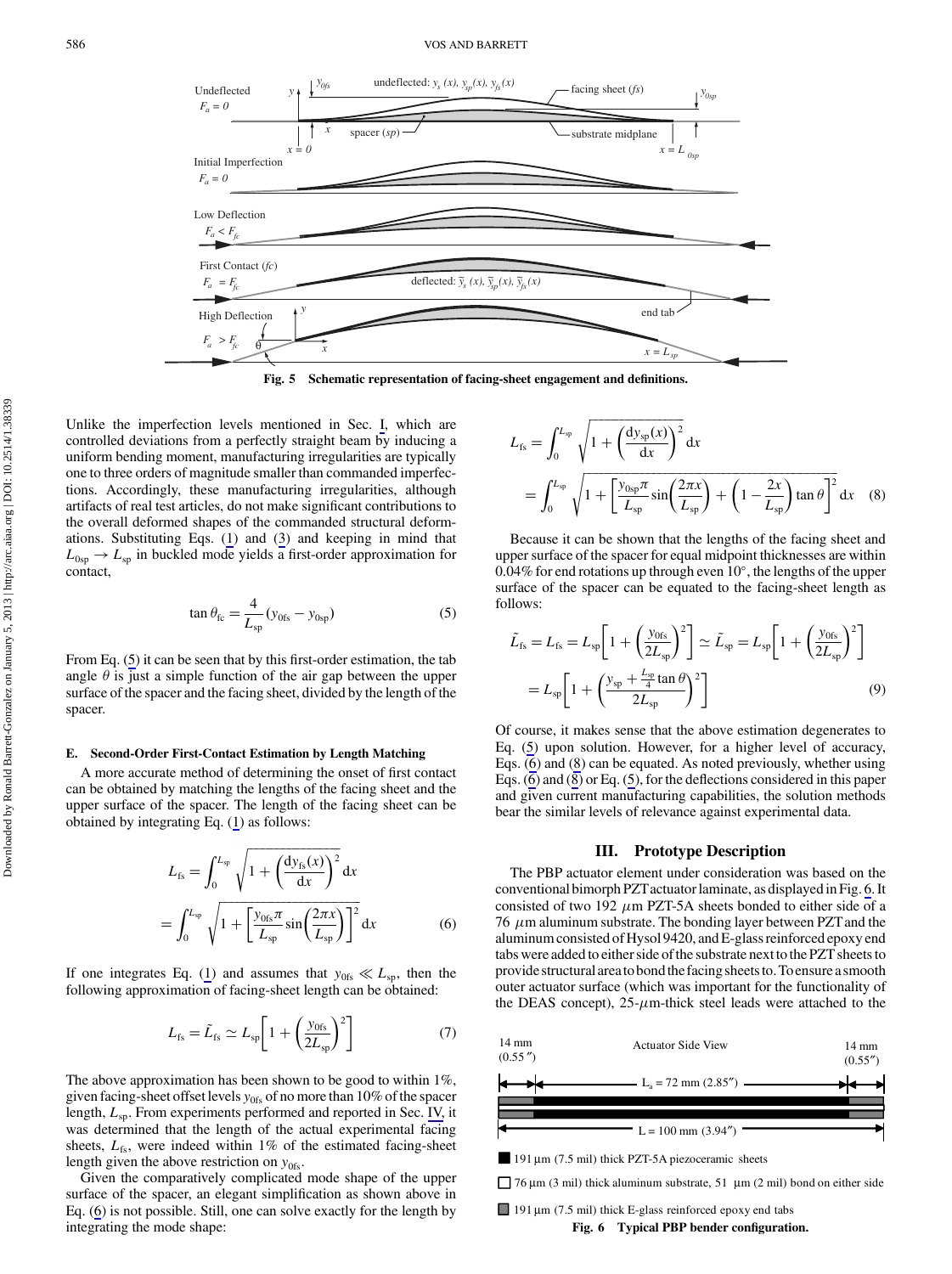<span id="page-3-0"></span>

Fig. 5 Schematic representation of facing-sheet engagement and definitions.

Unlike the imperfection levels mentioned in Sec. [I](#page-0-0), which are controlled deviations from a perfectly straight beam by inducing a uniform bending moment, manufacturing irregularities are typically one to three orders of magnitude smaller than commanded imperfections. Accordingly, these manufacturing irregularities, although artifacts of real test articles, do not make significant contributions to the overall deformed shapes of the commanded structural deformations. Substituting Eqs. ([1](#page-2-0)) and [\(3\)](#page-2-0) and keeping in mind that  $L_{0sp} \rightarrow L_{sp}$  in buckled mode yields a first-order approximation for contact,

$$
\tan \theta_{\rm fc} = \frac{4}{L_{\rm sp}} (y_{\rm 0fs} - y_{\rm 0sp})
$$
 (5)

From Eq. (5) it can be seen that by this first-order estimation, the tab angle  $\theta$  is just a simple function of the air gap between the upper surface of the spacer and the facing sheet, divided by the length of the spacer.

#### E. Second-Order First-Contact Estimation by Length Matching

A more accurate method of determining the onset of first contact can be obtained by matching the lengths of the facing sheet and the upper surface of the spacer. The length of the facing sheet can be obtained by integrating Eq. ([1](#page-2-0)) as follows:

$$
L_{\text{fs}} = \int_0^{L_{\text{sp}}} \sqrt{1 + \left(\frac{dy_{\text{fs}}(x)}{dx}\right)^2} dx
$$

$$
= \int_0^{L_{\text{sp}}} \sqrt{1 + \left[\frac{y_{0\text{fs}}\pi}{L_{\text{sp}}} \sin\left(\frac{2\pi x}{L_{\text{sp}}}\right)\right]^2} dx
$$
(6)

If one integrates Eq. [\(1\)](#page-2-0) and assumes that  $y_{0fs} \ll L_{sp}$ , then the following approximation of facing-sheet length can be obtained:

$$
L_{\rm fs} = \tilde{L}_{\rm fs} \simeq L_{\rm sp} \bigg[ 1 + \bigg( \frac{y_{\rm 0fs}}{2L_{\rm sp}} \bigg)^2 \bigg] \tag{7}
$$

The above approximation has been shown to be good to within  $1\%$ , given facing-sheet offset levels *y*0fs of no more than 10% of the spacer length,  $L_{\text{sp}}$ . From experiments performed and reported in Sec. [IV,](#page-4-0) it was determined that the length of the actual experimental facing sheets,  $L_{fs}$ , were indeed within 1% of the estimated facing-sheet length given the above restriction on  $y_{0fs}$ .

Given the comparatively complicated mode shape of the upper surface of the spacer, an elegant simplification as shown above in Eq. (6) is not possible. Still, one can solve exactly for the length by integrating the mode shape:

$$
L_{\text{fs}} = \int_0^{L_{\text{sp}}} \sqrt{1 + \left(\frac{dy_{\text{sp}}(x)}{dx}\right)^2} dx
$$
  
= 
$$
\int_0^{L_{\text{sp}}} \sqrt{1 + \left[\frac{y_{\text{osp}}\pi}{L_{\text{sp}}} \sin\left(\frac{2\pi x}{L_{\text{sp}}}\right) + \left(1 - \frac{2x}{L_{\text{sp}}}\right) \tan \theta\right]^2} dx
$$
 (8)

Because it can be shown that the lengths of the facing sheet and upper surface of the spacer for equal midpoint thicknesses are within 0.04% for end rotations up through even  $10^{\circ}$ , the lengths of the upper surface of the spacer can be equated to the facing-sheet length as follows:

$$
\tilde{L}_{\text{fs}} = L_{\text{fs}} = L_{\text{sp}} \left[ 1 + \left( \frac{y_{0\text{fs}}}{2L_{\text{sp}}} \right)^2 \right] \simeq \tilde{L}_{\text{sp}} = L_{\text{sp}} \left[ 1 + \left( \frac{y_{0\text{fs}}}{2L_{\text{sp}}} \right)^2 \right]
$$
\n
$$
= L_{\text{sp}} \left[ 1 + \left( \frac{y_{\text{sp}} + \frac{L_{\text{sp}}}{4} \tan \theta}{2L_{\text{sp}}} \right)^2 \right] \tag{9}
$$

Of course, it makes sense that the above estimation degenerates to Eq. (5) upon solution. However, for a higher level of accuracy, Eqs. (6) and (8) can be equated. As noted previously, whether using Eqs. (6) and (8) or Eq. (5), for the deflections considered in this paper and given current manufacturing capabilities, the solution methods bear the similar levels of relevance against experimental data.

#### III. Prototype Description

The PBP actuator element under consideration was based on the conventional bimorph PZTactuator laminate, as displayed in Fig. 6. It consisted of two 192  $\mu$ m PZT-5A sheets bonded to either side of a 76  $\mu$ m aluminum substrate. The bonding layer between PZT and the aluminum consisted of Hysol 9420, and E-glass reinforced epoxy end tabs were added to either side of the substrate next to the PZT sheets to provide structural area to bond the facing sheets to. To ensure a smooth outer actuator surface (which was important for the functionality of the DEAS concept),  $25-\mu$ m-thick steel leads were attached to the



191 μm (7.5 mil) thick PZT-5A piezoceramic sheets

 $\Box$  76  $\mu$ m (3 mil) thick aluminum substrate, 51  $\mu$ m (2 mil) bond on either side

 $\Box$  191 µm (7.5 mil) thick E-glass reinforced epoxy end tabs Fig. 6 Typical PBP bender configuration.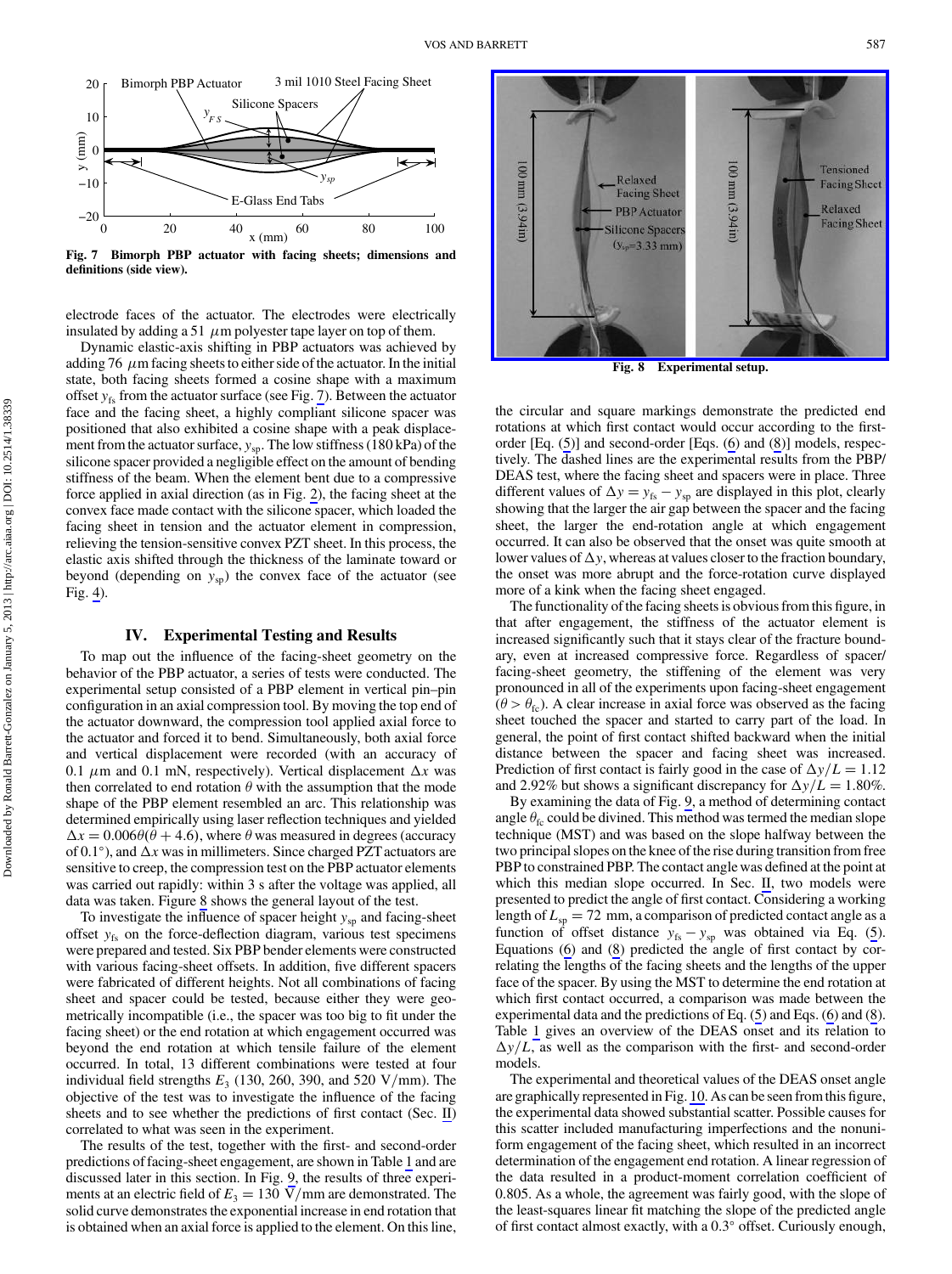<span id="page-4-0"></span>

Fig. 7 Bimorph PBP actuator with facing sheets; dimensions and definitions (side view).

electrode faces of the actuator. The electrodes were electrically insulated by adding a 51  $\mu$ m polyester tape layer on top of them.

Dynamic elastic-axis shifting in PBP actuators was achieved by adding 76  $\mu$ m facing sheets to either side of the actuator. In the initial state, both facing sheets formed a cosine shape with a maximum offset  $y_{fs}$  from the actuator surface (see Fig. 7). Between the actuator face and the facing sheet, a highly compliant silicone spacer was positioned that also exhibited a cosine shape with a peak displacement from the actuator surface,  $y_{sp}$ . The low stiffness (180 kPa) of the silicone spacer provided a negligible effect on the amount of bending stiffness of the beam. When the element bent due to a compressive force applied in axial direction (as in Fig. [2](#page-1-0)), the facing sheet at the convex face made contact with the silicone spacer, which loaded the facing sheet in tension and the actuator element in compression, relieving the tension-sensitive convex PZT sheet. In this process, the elastic axis shifted through the thickness of the laminate toward or beyond (depending on  $y_{\rm sp}$ ) the convex face of the actuator (see Fig. [4](#page-2-0)).

#### IV. Experimental Testing and Results

To map out the influence of the facing-sheet geometry on the behavior of the PBP actuator, a series of tests were conducted. The experimental setup consisted of a PBP element in vertical pin–pin configuration in an axial compression tool. By moving the top end of the actuator downward, the compression tool applied axial force to the actuator and forced it to bend. Simultaneously, both axial force and vertical displacement were recorded (with an accuracy of 0.1  $\mu$ m and 0.1 mN, respectively). Vertical displacement  $\Delta x$  was then correlated to end rotation  $\theta$  with the assumption that the mode shape of the PBP element resembled an arc. This relationship was determined empirically using laser reflection techniques and yielded  $\Delta x = 0.006 \theta (\theta + 4.6)$ , where  $\theta$  was measured in degrees (accuracy of  $0.1^{\circ}$ ), and  $\Delta x$  was in millimeters. Since charged PZT actuators are sensitive to creep, the compression test on the PBP actuator elements was carried out rapidly: within 3 s after the voltage was applied, all data was taken. Figure 8 shows the general layout of the test.

To investigate the influence of spacer height  $y_{sp}$  and facing-sheet offset  $y_{fs}$  on the force-deflection diagram, various test specimens were prepared and tested. Six PBP bender elements were constructed with various facing-sheet offsets. In addition, five different spacers were fabricated of different heights. Not all combinations of facing sheet and spacer could be tested, because either they were geometrically incompatible (i.e., the spacer was too big to fit under the facing sheet) or the end rotation at which engagement occurred was beyond the end rotation at which tensile failure of the element occurred. In total, 13 different combinations were tested at four individual field strengths  $E_3$  (130, 260, 390, and 520 V/mm). The objective of the test was to investigate the influence of the facing sheets and to see whether the predictions of first contact (Sec. [II\)](#page-2-0) correlated to what was seen in the experiment.

The results of the test, together with the first- and second-order predictions of facing-sheet engagement, are shown in Table [1](#page-5-0) and are discussed later in this section. In Fig. [9](#page-5-0), the results of three experiments at an electric field of  $E_3 = 130 \text{ V/mm}$  are demonstrated. The solid curve demonstrates the exponential increase in end rotation that is obtained when an axial force is applied to the element. On this line,



Fig. 8 Experimental setup.

the circular and square markings demonstrate the predicted end rotations at which first contact would occur according to the firstorder [Eq. [\(5\)](#page-3-0)] and second-order [Eqs. [\(6\)](#page-3-0) and ([8](#page-3-0))] models, respectively. The dashed lines are the experimental results from the PBP/ DEAS test, where the facing sheet and spacers were in place. Three different values of  $\Delta y = y_{fs} - y_{sp}$  are displayed in this plot, clearly showing that the larger the air gap between the spacer and the facing sheet, the larger the end-rotation angle at which engagement occurred. It can also be observed that the onset was quite smooth at lower values of  $\Delta y$ , whereas at values closer to the fraction boundary, the onset was more abrupt and the force-rotation curve displayed more of a kink when the facing sheet engaged.

The functionality of the facing sheets is obvious from this figure, in that after engagement, the stiffness of the actuator element is increased significantly such that it stays clear of the fracture boundary, even at increased compressive force. Regardless of spacer/ facing-sheet geometry, the stiffening of the element was very pronounced in all of the experiments upon facing-sheet engagement  $(\theta > \theta_{\rm fo})$ . A clear increase in axial force was observed as the facing sheet touched the spacer and started to carry part of the load. In general, the point of first contact shifted backward when the initial distance between the spacer and facing sheet was increased. Prediction of first contact is fairly good in the case of  $\Delta y/L = 1.12$ and 2.92% but shows a significant discrepancy for  $\Delta y/L = 1.80\%$ .

By examining the data of Fig. [9](#page-5-0), a method of determining contact angle  $\theta_{\rm fc}$  could be divined. This method was termed the median slope technique (MST) and was based on the slope halfway between the two principal slopes on the knee of the rise during transition from free PBP to constrained PBP. The contact angle was defined at the point at which this median slope occurred. In Sec. [II,](#page-2-0) two models were presented to predict the angle of first contact. Considering a working length of  $L_{sp} = 72$  mm, a comparison of predicted contact angle as a function of offset distance  $y_{fs} - y_{sp}$  was obtained via Eq. ([5](#page-3-0)). Equations ([6](#page-3-0)) and ([8](#page-3-0)) predicted the angle of first contact by correlating the lengths of the facing sheets and the lengths of the upper face of the spacer. By using the MST to determine the end rotation at which first contact occurred, a comparison was made between the experimental data and the predictions of Eq. ([5](#page-3-0)) and Eqs. [\(6\)](#page-3-0) and ([8](#page-3-0)). Table [1](#page-5-0) gives an overview of the DEAS onset and its relation to  $\Delta y/L$ , as well as the comparison with the first- and second-order models.

The experimental and theoretical values of the DEAS onset angle are graphically represented in Fig. [10](#page-5-0). As can be seen from this figure, the experimental data showed substantial scatter. Possible causes for this scatter included manufacturing imperfections and the nonuniform engagement of the facing sheet, which resulted in an incorrect determination of the engagement end rotation. A linear regression of the data resulted in a product-moment correlation coefficient of 0.805. As a whole, the agreement was fairly good, with the slope of the least-squares linear fit matching the slope of the predicted angle of first contact almost exactly, with a  $0.3^\circ$  offset. Curiously enough,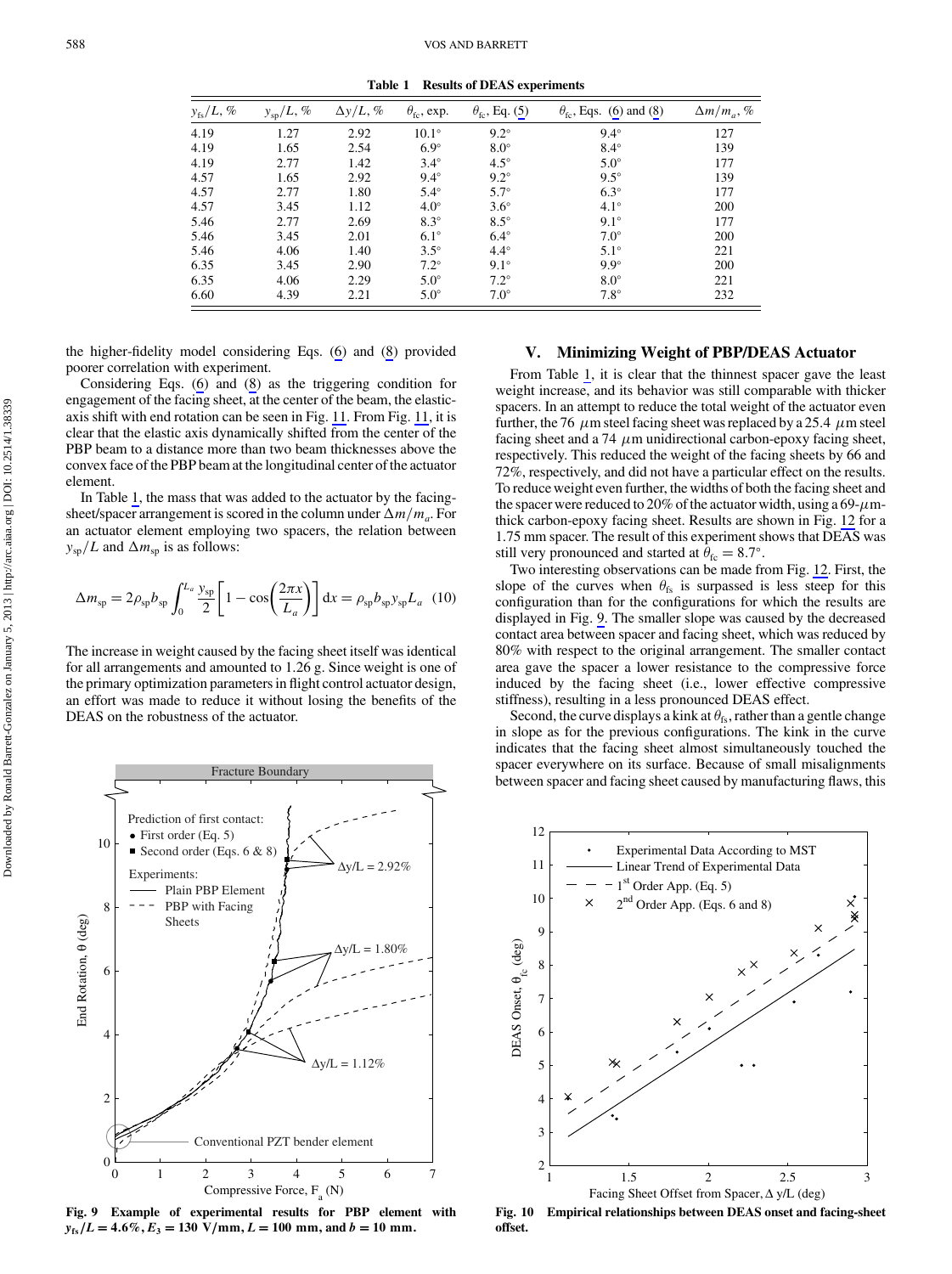Table 1 Results of DEAS experiments

<span id="page-5-0"></span>

| $y_{fs}/L, %$ | $y_{sp}/L, \%$ | $\Delta y/L$ , % | $\theta_{\rm fc}$ , exp. | $\theta_{\rm fc}$ , Eq. (5) | $\theta_{\text{fc}}$ , Eqs. (6) and (8) | $\Delta m/m_a,$ % |
|---------------|----------------|------------------|--------------------------|-----------------------------|-----------------------------------------|-------------------|
| 4.19          | 1.27           | 2.92             | $10.1^\circ$             | $9.2^\circ$                 | $9.4^\circ$                             | 127               |
| 4.19          | 1.65           | 2.54             | $6.9^\circ$              | $8.0^\circ$                 | $8.4^\circ$                             | 139               |
| 4.19          | 2.77           | 1.42             | $3.4^\circ$              | $4.5^\circ$                 | $5.0^\circ$                             | 177               |
| 4.57          | 1.65           | 2.92             | $9.4^\circ$              | $9.2^\circ$                 | $9.5^\circ$                             | 139               |
| 4.57          | 2.77           | 1.80             | $5.4^\circ$              | $5.7^\circ$                 | $6.3^\circ$                             | 177               |
| 4.57          | 3.45           | 1.12             | $4.0^\circ$              | $3.6^\circ$                 | $4.1^\circ$                             | 200               |
| 5.46          | 2.77           | 2.69             | $8.3^\circ$              | $8.5^\circ$                 | $9.1^\circ$                             | 177               |
| 5.46          | 3.45           | 2.01             | $6.1^\circ$              | $6.4^\circ$                 | $7.0^\circ$                             | 200               |
| 5.46          | 4.06           | 1.40             | $3.5^\circ$              | $4.4^\circ$                 | $5.1^\circ$                             | 221               |
| 6.35          | 3.45           | 2.90             | $7.2^\circ$              | $9.1^\circ$                 | $9.9^\circ$                             | 200               |
| 6.35          | 4.06           | 2.29             | $5.0^\circ$              | $7.2^\circ$                 | $8.0^\circ$                             | 221               |
| 6.60          | 4.39           | 2.21             | $5.0^\circ$              | $7.0^\circ$                 | $7.8^\circ$                             | 232               |

the higher-fidelity model considering Eqs. ([6](#page-3-0)) and [\(8\)](#page-3-0) provided poorer correlation with experiment.

Considering Eqs. ([6](#page-3-0)) and [\(8\)](#page-3-0) as the triggering condition for engagement of the facing sheet, at the center of the beam, the elasticaxis shift with end rotation can be seen in Fig. [11](#page-6-0). From Fig. [11,](#page-6-0) it is clear that the elastic axis dynamically shifted from the center of the PBP beam to a distance more than two beam thicknesses above the convex face of the PBP beam at the longitudinal center of the actuator element.

In Table 1, the mass that was added to the actuator by the facingsheet/spacer arrangement is scored in the column under  $\Delta m/m_a$ . For an actuator element employing two spacers, the relation between  $y_{sp}/L$  and  $\Delta m_{sp}$  is as follows:

$$
\Delta m_{\rm sp} = 2\rho_{\rm sp} b_{\rm sp} \int_0^{L_a} \frac{y_{\rm sp}}{2} \left[ 1 - \cos\left(\frac{2\pi x}{L_a}\right) \right] dx = \rho_{\rm sp} b_{\rm sp} y_{\rm sp} L_a \tag{10}
$$

The increase in weight caused by the facing sheet itself was identical for all arrangements and amounted to 1.26 g. Since weight is one of the primary optimization parameters in flight control actuator design, an effort was made to reduce it without losing the benefits of the DEAS on the robustness of the actuator.



Fig. 9 Example of experimental results for PBP element with  $y_{fs}/L = 4.6\%, E_3 = 130 \text{ V/mm}, L = 100 \text{ mm}, \text{and } b = 10 \text{ mm}.$ 

## V. Minimizing Weight of PBP/DEAS Actuator

From Table 1, it is clear that the thinnest spacer gave the least weight increase, and its behavior was still comparable with thicker spacers. In an attempt to reduce the total weight of the actuator even further, the 76  $\mu$ m steel facing sheet was replaced by a 25.4  $\mu$ m steel facing sheet and a 74  $\mu$ m unidirectional carbon-epoxy facing sheet, respectively. This reduced the weight of the facing sheets by 66 and 72%, respectively, and did not have a particular effect on the results. To reduce weight even further, the widths of both the facing sheet and the spacer were reduced to 20% of the actuator width, using a 69- $\mu$ mthick carbon-epoxy facing sheet. Results are shown in Fig. [12](#page-6-0) for a 1.75 mm spacer. The result of this experiment shows that DEAS was still very pronounced and started at  $\theta_{\text{fc}} = 8.7^{\circ}$ .

Two interesting observations can be made from Fig. [12.](#page-6-0) First, the slope of the curves when  $\theta_{fs}$  is surpassed is less steep for this configuration than for the configurations for which the results are displayed in Fig. 9. The smaller slope was caused by the decreased contact area between spacer and facing sheet, which was reduced by 80% with respect to the original arrangement. The smaller contact area gave the spacer a lower resistance to the compressive force induced by the facing sheet (i.e., lower effective compressive stiffness), resulting in a less pronounced DEAS effect.

Second, the curve displays a kink at  $\theta_{fs}$ , rather than a gentle change in slope as for the previous configurations. The kink in the curve indicates that the facing sheet almost simultaneously touched the spacer everywhere on its surface. Because of small misalignments between spacer and facing sheet caused by manufacturing flaws, this



Fig. 10 Empirical relationships between DEAS onset and facing-sheet offset.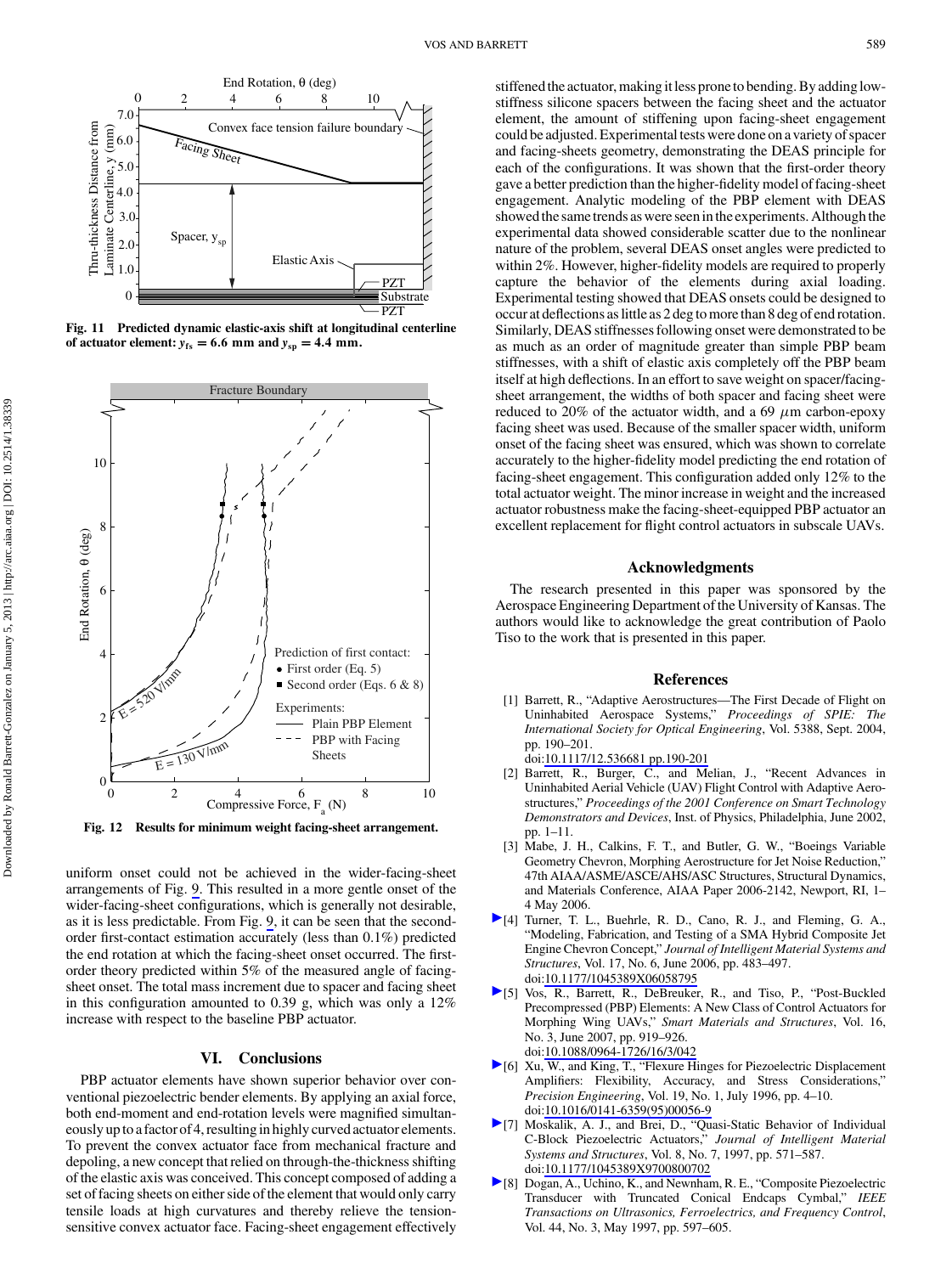<span id="page-6-0"></span>

Fig. 11 Predicted dynamic elastic-axis shift at longitudinal centerline of actuator element:  $y_{fs} = 6.6$  mm and  $y_{sp} = 4.4$  mm.



Fig. 12 Results for minimum weight facing-sheet arrangement.

uniform onset could not be achieved in the wider-facing-sheet arrangements of Fig. [9](#page-5-0). This resulted in a more gentle onset of the wider-facing-sheet configurations, which is generally not desirable, as it is less predictable. From Fig. [9](#page-5-0), it can be seen that the secondorder first-contact estimation accurately (less than 0.1%) predicted the end rotation at which the facing-sheet onset occurred. The firstorder theory predicted within 5% of the measured angle of facingsheet onset. The total mass increment due to spacer and facing sheet in this configuration amounted to 0.39 g, which was only a 12% increase with respect to the baseline PBP actuator.

#### VI. Conclusions

PBP actuator elements have shown superior behavior over conventional piezoelectric bender elements. By applying an axial force, both end-moment and end-rotation levels were magnified simultaneously upto a factor of 4, resulting in highly curved actuator elements. To prevent the convex actuator face from mechanical fracture and depoling, a new concept that relied on through-the-thickness shifting of the elastic axis was conceived. This concept composed of adding a set of facing sheets on either side of the element that would only carry tensile loads at high curvatures and thereby relieve the tensionsensitive convex actuator face. Facing-sheet engagement effectively

stiffened the actuator, making it less prone to bending. By adding lowstiffness silicone spacers between the facing sheet and the actuator element, the amount of stiffening upon facing-sheet engagement could be adjusted. Experimental tests were done on a variety of spacer and facing-sheets geometry, demonstrating the DEAS principle for each of the configurations. It was shown that the first-order theory gave a better prediction than the higher-fidelity model of facing-sheet engagement. Analytic modeling of the PBP element with DEAS showed the same trends as were seen in the experiments. Although the experimental data showed considerable scatter due to the nonlinear nature of the problem, several DEAS onset angles were predicted to within 2%. However, higher-fidelity models are required to properly capture the behavior of the elements during axial loading. Experimental testing showed that DEAS onsets could be designed to occur at deflections as little as 2 deg to more than 8 deg of end rotation. Similarly, DEAS stiffnesses following onset were demonstrated to be as much as an order of magnitude greater than simple PBP beam stiffnesses, with a shift of elastic axis completely off the PBP beam itself at high deflections. In an effort to save weight on spacer/facingsheet arrangement, the widths of both spacer and facing sheet were reduced to 20% of the actuator width, and a 69  $\mu$ m carbon-epoxy facing sheet was used. Because of the smaller spacer width, uniform onset of the facing sheet was ensured, which was shown to correlate accurately to the higher-fidelity model predicting the end rotation of facing-sheet engagement. This configuration added only 12% to the total actuator weight. The minor increase in weight and the increased actuator robustness make the facing-sheet-equipped PBP actuator an excellent replacement for flight control actuators in subscale UAVs.

#### Acknowledgments

The research presented in this paper was sponsored by the Aerospace Engineering Department of the University of Kansas. The authors would like to acknowledge the great contribution of Paolo Tiso to the work that is presented in this paper.

#### References

- [1] Barrett, R., "Adaptive Aerostructures—The First Decade of Flight on Uninhabited Aerospace Systems," Proceedings of SPIE: The International Society for Optical Engineering, Vol. 5388, Sept. 2004, pp. 190–201.
	- doi:[10.1117/12.536681 pp.190-201](http://dx.doi.org/10.1117/12.536681 pp.190-201)
- [2] Barrett, R., Burger, C., and Melian, J., "Recent Advances in Uninhabited Aerial Vehicle (UAV) Flight Control with Adaptive Aerostructures," Proceedings of the 2001 Conference on Smart Technology Demonstrators and Devices, Inst. of Physics, Philadelphia, June 2002, pp. 1–11.
- [3] Mabe, J. H., Calkins, F. T., and Butler, G. W., "Boeings Variable Geometry Chevron, Morphing Aerostructure for Jet Noise Reduction," 47th AIAA/ASME/ASCE/AHS/ASC Structures, Structural Dynamics, and Materials Conference, AIAA Paper 2006-2142, Newport, RI, 1– 4 May 2006.
- [4] Turner, T. L., Buehrle, R. D., Cano, R. J., and Fleming, G. A., "Modeling, Fabrication, and Testing of a SMA Hybrid Composite Jet Engine Chevron Concept," Journal of Intelligent Material Systems and Structures, Vol. 17, No. 6, June 2006, pp. 483–497. doi:[10.1177/1045389X06058795](http://dx.doi.org/10.1177/1045389X06058795)
- [5] Vos, R., Barrett, R., DeBreuker, R., and Tiso, P., "Post-Buckled Precompressed (PBP) Elements: A New Class of Control Actuators for Morphing Wing UAVs," Smart Materials and Structures, Vol. 16, No. 3, June 2007, pp. 919–926. doi:[10.1088/0964-1726/16/3/042](http://dx.doi.org/10.1088/0964-1726/16/3/042)
- [6] Xu, W., and King, T., "Flexure Hinges for Piezoelectric Displacement Amplifiers: Flexibility, Accuracy, and Stress Considerations," Precision Engineering, Vol. 19, No. 1, July 1996, pp. 4–10. doi:[10.1016/0141-6359\(95\)00056-9](http://dx.doi.org/10.1016/0141-6359(95)00056-9)
- [7] Moskalik, A. J., and Brei, D., "Quasi-Static Behavior of Individual C-Block Piezoelectric Actuators," Journal of Intelligent Material Systems and Structures, Vol. 8, No. 7, 1997, pp. 571–587. doi:[10.1177/1045389X9700800702](http://dx.doi.org/10.1177/1045389X9700800702)
- [8] Dogan, A., Uchino, K., and Newnham, R. E., "Composite Piezoelectric Transducer with Truncated Conical Endcaps Cymbal," IEEE Transactions on Ultrasonics, Ferroelectrics, and Frequency Control, Vol. 44, No. 3, May 1997, pp. 597–605.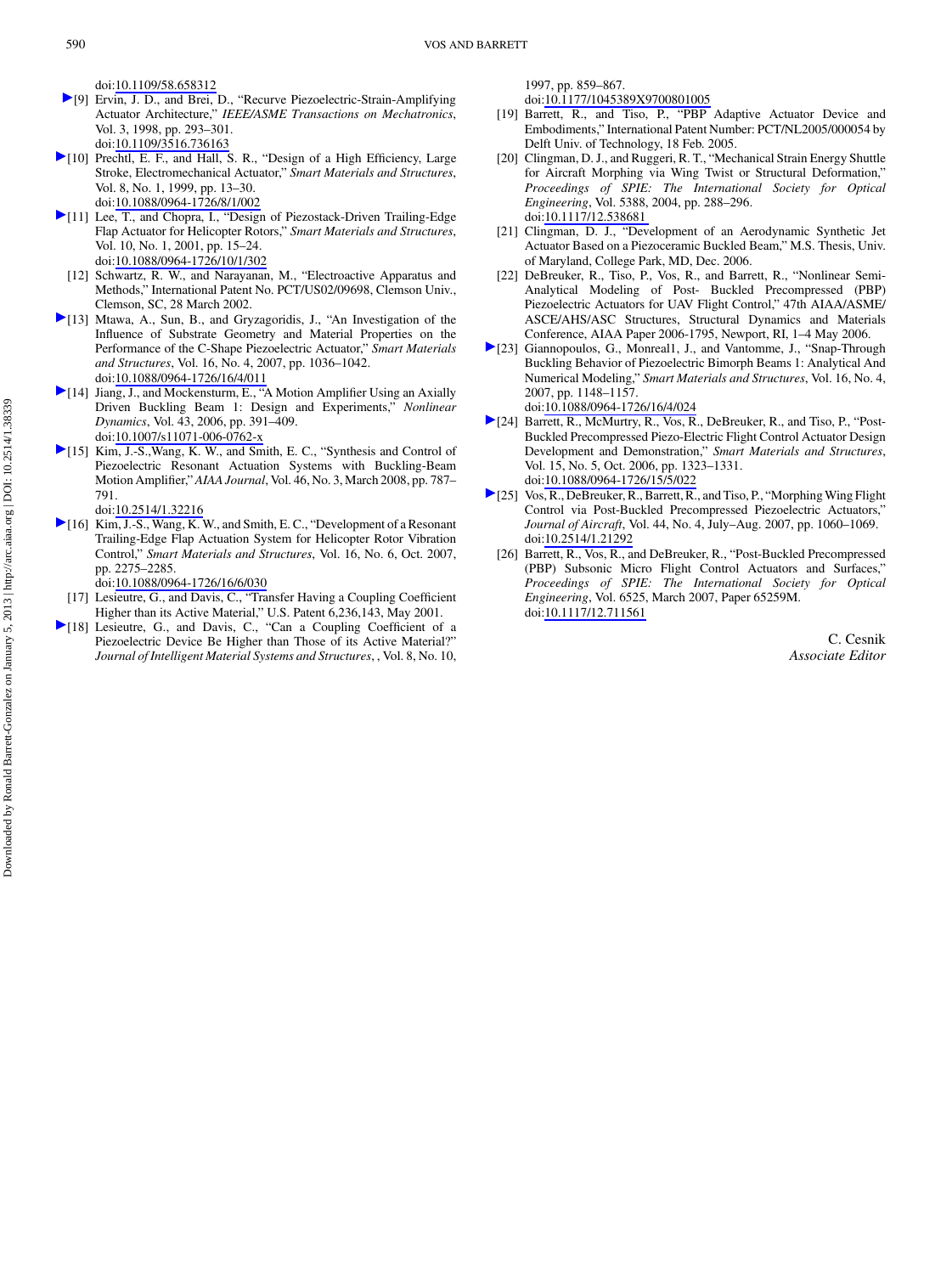doi:[10.1109/58.658312](http://dx.doi.org/10.1109/58.658312)

- <span id="page-7-0"></span>[9] Ervin, J. D., and Brei, D., "Recurve Piezoelectric-Strain-Amplifying Actuator Architecture," IEEE/ASME Transactions on Mechatronics, Vol. 3, 1998, pp. 293–301. doi:[10.1109/3516.736163](http://dx.doi.org/10.1109/3516.736163)
- [10] Prechtl, E. F., and Hall, S. R., "Design of a High Efficiency, Large Stroke, Electromechanical Actuator," Smart Materials and Structures, Vol. 8, No. 1, 1999, pp. 13–30. doi:[10.1088/0964-1726/8/1/002](http://dx.doi.org/10.1088/0964-1726/8/1/002)
- [11] Lee, T., and Chopra, I., "Design of Piezostack-Driven Trailing-Edge Flap Actuator for Helicopter Rotors," Smart Materials and Structures, Vol. 10, No. 1, 2001, pp. 15–24. doi:[10.1088/0964-1726/10/1/302](http://dx.doi.org/10.1088/0964-1726/10/1/302)
	- [12] Schwartz, R. W., and Narayanan, M., "Electroactive Apparatus and Methods," International Patent No. PCT/US02/09698, Clemson Univ., Clemson, SC, 28 March 2002.
- [13] Mtawa, A., Sun, B., and Gryzagoridis, J., "An Investigation of the Influence of Substrate Geometry and Material Properties on the Performance of the C-Shape Piezoelectric Actuator," Smart Materials and Structures, Vol. 16, No. 4, 2007, pp. 1036–1042. doi:[10.1088/0964-1726/16/4/011](http://dx.doi.org/10.1088/0964-1726/16/4/011)
- [14] Jiang, J., and Mockensturm, E., "A Motion Amplifier Using an Axially Driven Buckling Beam 1: Design and Experiments," Nonlinear Dynamics, Vol. 43, 2006, pp. 391–409. doi:[10.1007/s11071-006-0762-x](http://dx.doi.org/10.1007/s11071-006-0762-x)
- [15] Kim, J.-S.,Wang, K. W., and Smith, E. C., "Synthesis and Control of Piezoelectric Resonant Actuation Systems with Buckling-Beam Motion Amplifier," AIAA Journal, Vol. 46, No. 3, March 2008, pp. 787– 791.

doi:[10.2514/1.32216](http://dx.doi.org/10.2514/1.32216)

[16] Kim, J.-S., Wang, K. W., and Smith, E. C., "Development of a Resonant Trailing-Edge Flap Actuation System for Helicopter Rotor Vibration Control," Smart Materials and Structures, Vol. 16, No. 6, Oct. 2007, pp. 2275–2285.

doi:[10.1088/0964-1726/16/6/030](http://dx.doi.org/10.1088/0964-1726/16/6/030)

- [17] Lesieutre, G., and Davis, C., "Transfer Having a Coupling Coefficient Higher than its Active Material," U.S. Patent 6,236,143, May 2001.
- [18] Lesieutre, G., and Davis, C., "Can a Coupling Coefficient of a Piezoelectric Device Be Higher than Those of its Active Material?" Journal of Intelligent Material Systems and Structures, , Vol. 8, No. 10,

1997, pp. 859–867.

doi:[10.1177/1045389X9700801005](http://dx.doi.org/10.1177/1045389X9700801005)

- [19] Barrett, R., and Tiso, P., "PBP Adaptive Actuator Device and Embodiments," International Patent Number: PCT/NL2005/000054 by Delft Univ. of Technology, 18 Feb. 2005.
- [20] Clingman, D. J., and Ruggeri, R. T., "Mechanical Strain Energy Shuttle for Aircraft Morphing via Wing Twist or Structural Deformation," Proceedings of SPIE: The International Society for Optical Engineering, Vol. 5388, 2004, pp. 288–296. doi:[10.1117/12.538681](http://dx.doi.org/10.1117/12.538681 )
- [21] Clingman, D. J., "Development of an Aerodynamic Synthetic Jet Actuator Based on a Piezoceramic Buckled Beam," M.S. Thesis, Univ. of Maryland, College Park, MD, Dec. 2006.
- [22] DeBreuker, R., Tiso, P., Vos, R., and Barrett, R., "Nonlinear Semi-Analytical Modeling of Post- Buckled Precompressed (PBP) Piezoelectric Actuators for UAV Flight Control," 47th AIAA/ASME/ ASCE/AHS/ASC Structures, Structural Dynamics and Materials Conference, AIAA Paper 2006-1795, Newport, RI, 1–4 May 2006.
- [23] Giannopoulos, G., Monreal1, J., and Vantomme, J., "Snap-Through Buckling Behavior of Piezoelectric Bimorph Beams 1: Analytical And Numerical Modeling," Smart Materials and Structures, Vol. 16, No. 4, 2007, pp. 1148–1157. doi:[10.1088/0964-1726/16/4/024](http://dx.doi.org/10.1088/0964-1726/16/4/024)
- [24] Barrett, R., McMurtry, R., Vos, R., DeBreuker, R., and Tiso, P., "Post-Buckled Precompressed Piezo-Electric Flight Control Actuator Design Development and Demonstration," Smart Materials and Structures, Vol. 15, No. 5, Oct. 2006, pp. 1323–1331. doi:[10.1088/0964-1726/15/5/022](http://dx.doi.org/10.1088/0964-1726/15/5/022)
- $\geq$  [25] Vos, R., DeBreuker, R., Barrett, R., and Tiso, P., "Morphing Wing Flight Control via Post-Buckled Precompressed Piezoelectric Actuators,' Journal of Aircraft, Vol. 44, No. 4, July–Aug. 2007, pp. 1060–1069. doi:[10.2514/1.21292](http://dx.doi.org/10.2514/1.21292)
	- [26] Barrett, R., Vos, R., and DeBreuker, R., "Post-Buckled Precompressed (PBP) Subsonic Micro Flight Control Actuators and Surfaces,' Proceedings of SPIE: The International Society for Optical Engineering, Vol. 6525, March 2007, Paper 65259M. doi:[10.1117/12.711561](http://dx.doi.org/10.1117/12.711561)

C. Cesnik Associate Editor